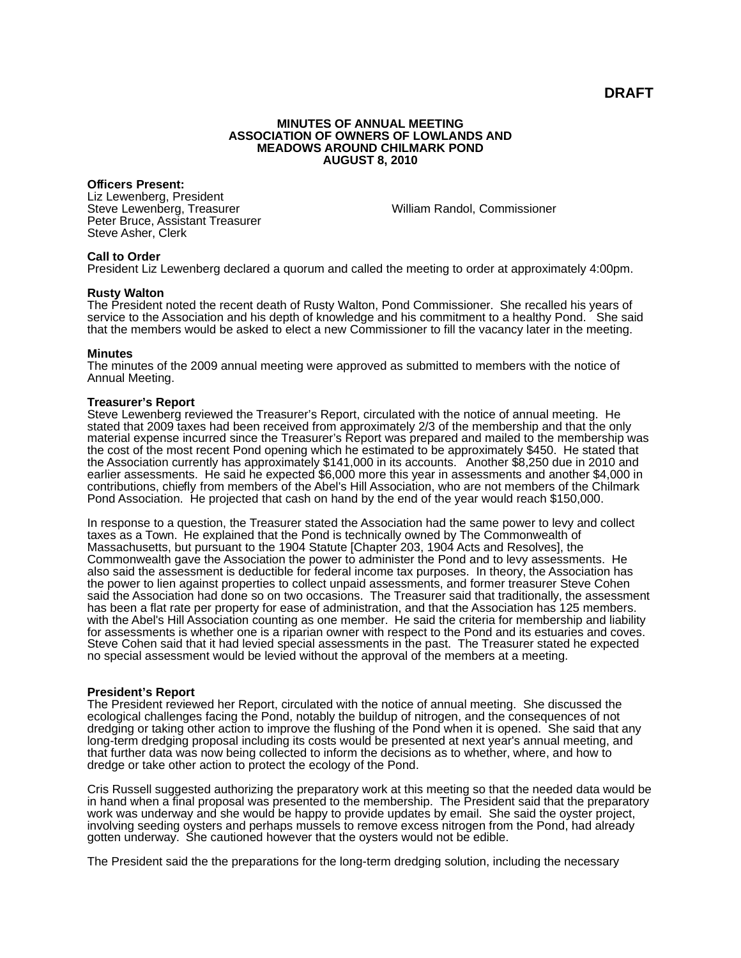**DRAFT**

### **MINUTES OF ANNUAL MEETING ASSOCIATION OF OWNERS OF LOWLANDS AND MEADOWS AROUND CHILMARK POND AUGUST 8, 2010**

## **Officers Present:**

Liz Lewenberg, President Steve Lewenberg, Treasurer Peter Bruce, Assistant Treasurer Steve Asher, Clerk

William Randol, Commissioner

# **Call to Order**

President Liz Lewenberg declared a quorum and called the meeting to order at approximately 4:00pm.

## **Rusty Walton**

The President noted the recent death of Rusty Walton, Pond Commissioner. She recalled his years of service to the Association and his depth of knowledge and his commitment to a healthy Pond. She said that the members would be asked to elect a new Commissioner to fill the vacancy later in the meeting.

## **Minutes**

The minutes of the 2009 annual meeting were approved as submitted to members with the notice of Annual Meeting.

## **Treasurer's Report**

Steve Lewenberg reviewed the Treasurer's Report, circulated with the notice of annual meeting. He stated that 2009 taxes had been received from approximately 2/3 of the membership and that the only material expense incurred since the Treasurer's Report was prepared and mailed to the membership was the cost of the most recent Pond opening which he estimated to be approximately \$450. He stated that the Association currently has approximately \$141,000 in its accounts. Another \$8,250 due in 2010 and earlier assessments. He said he expected \$6,000 more this year in assessments and another \$4,000 in contributions, chiefly from members of the Abel's Hill Association, who are not members of the Chilmark Pond Association. He projected that cash on hand by the end of the year would reach \$150,000.

In response to a question, the Treasurer stated the Association had the same power to levy and collect taxes as a Town. He explained that the Pond is technically owned by The Commonwealth of Massachusetts, but pursuant to the 1904 Statute [Chapter 203, 1904 Acts and Resolves], the Commonwealth gave the Association the power to administer the Pond and to levy assessments. He also said the assessment is deductible for federal income tax purposes. In theory, the Association has the power to lien against properties to collect unpaid assessments, and former treasurer Steve Cohen said the Association had done so on two occasions. The Treasurer said that traditionally, the assessment has been a flat rate per property for ease of administration, and that the Association has 125 members. with the Abel's Hill Association counting as one member. He said the criteria for membership and liability for assessments is whether one is a riparian owner with respect to the Pond and its estuaries and coves. Steve Cohen said that it had levied special assessments in the past. The Treasurer stated he expected no special assessment would be levied without the approval of the members at a meeting.

# **President's Report**

The President reviewed her Report, circulated with the notice of annual meeting. She discussed the ecological challenges facing the Pond, notably the buildup of nitrogen, and the consequences of not dredging or taking other action to improve the flushing of the Pond when it is opened. She said that any long-term dredging proposal including its costs would be presented at next year's annual meeting, and that further data was now being collected to inform the decisions as to whether, where, and how to dredge or take other action to protect the ecology of the Pond.

Cris Russell suggested authorizing the preparatory work at this meeting so that the needed data would be in hand when a final proposal was presented to the membership. The President said that the preparatory work was underway and she would be happy to provide updates by email. She said the oyster project, involving seeding oysters and perhaps mussels to remove excess nitrogen from the Pond, had already gotten underway. She cautioned however that the oysters would not be edible.

The President said the the preparations for the long-term dredging solution, including the necessary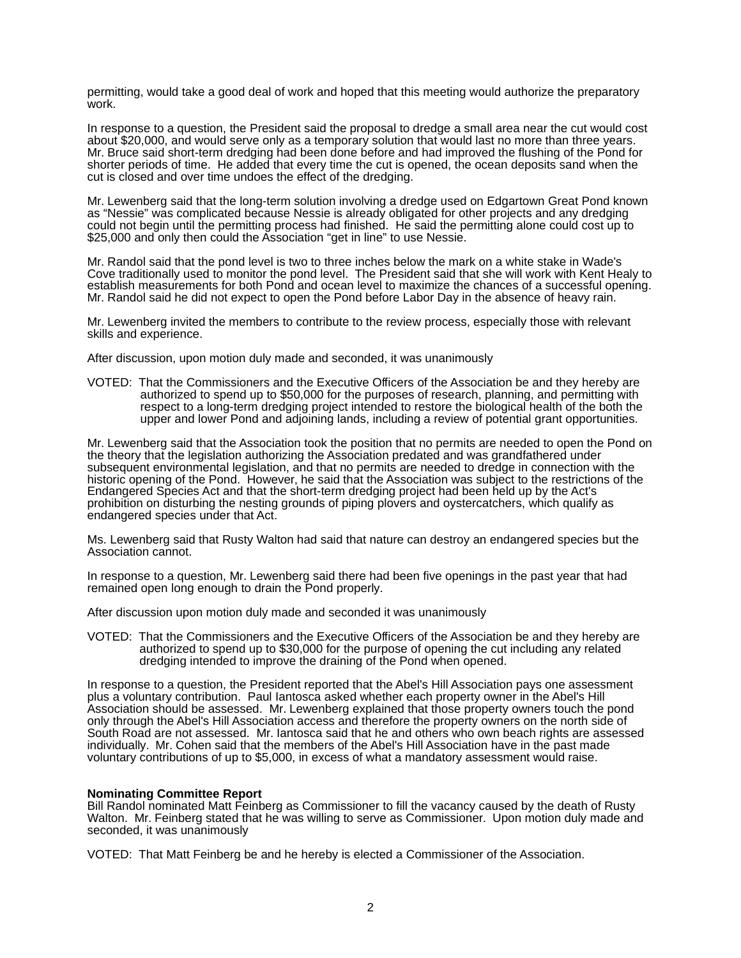permitting, would take a good deal of work and hoped that this meeting would authorize the preparatory work.

In response to a question, the President said the proposal to dredge a small area near the cut would cost about \$20,000, and would serve only as a temporary solution that would last no more than three years. Mr. Bruce said short-term dredging had been done before and had improved the flushing of the Pond for shorter periods of time. He added that every time the cut is opened, the ocean deposits sand when the cut is closed and over time undoes the effect of the dredging.

Mr. Lewenberg said that the long-term solution involving a dredge used on Edgartown Great Pond known as "Nessie" was complicated because Nessie is already obligated for other projects and any dredging could not begin until the permitting process had finished. He said the permitting alone could cost up to \$25,000 and only then could the Association "get in line" to use Nessie.

Mr. Randol said that the pond level is two to three inches below the mark on a white stake in Wade's Cove traditionally used to monitor the pond level. The President said that she will work with Kent Healy to establish measurements for both Pond and ocean level to maximize the chances of a successful opening. Mr. Randol said he did not expect to open the Pond before Labor Day in the absence of heavy rain.

Mr. Lewenberg invited the members to contribute to the review process, especially those with relevant skills and experience.

After discussion, upon motion duly made and seconded, it was unanimously

VOTED: That the Commissioners and the Executive Officers of the Association be and they hereby are authorized to spend up to \$50,000 for the purposes of research, planning, and permitting with respect to a long-term dredging project intended to restore the biological health of the both the upper and lower Pond and adjoining lands, including a review of potential grant opportunities.

Mr. Lewenberg said that the Association took the position that no permits are needed to open the Pond on the theory that the legislation authorizing the Association predated and was grandfathered under subsequent environmental legislation, and that no permits are needed to dredge in connection with the historic opening of the Pond. However, he said that the Association was subject to the restrictions of the Endangered Species Act and that the short-term dredging project had been held up by the Act's prohibition on disturbing the nesting grounds of piping plovers and oystercatchers, which qualify as endangered species under that Act.

Ms. Lewenberg said that Rusty Walton had said that nature can destroy an endangered species but the Association cannot.

In response to a question, Mr. Lewenberg said there had been five openings in the past year that had remained open long enough to drain the Pond properly.

After discussion upon motion duly made and seconded it was unanimously

VOTED: That the Commissioners and the Executive Officers of the Association be and they hereby are authorized to spend up to \$30,000 for the purpose of opening the cut including any related dredging intended to improve the draining of the Pond when opened.

In response to a question, the President reported that the Abel's Hill Association pays one assessment plus a voluntary contribution. Paul lantosca asked whether each property owner in the Abel's Hill Association should be assessed. Mr. Lewenberg explained that those property owners touch the pond only through the Abel's Hill Association access and therefore the property owners on the north side of South Road are not assessed. Mr. Iantosca said that he and others who own beach rights are assessed individually. Mr. Cohen said that the members of the Abel's Hill Association have in the past made voluntary contributions of up to \$5,000, in excess of what a mandatory assessment would raise.

# **Nominating Committee Report**

Bill Randol nominated Matt Feinberg as Commissioner to fill the vacancy caused by the death of Rusty Walton. Mr. Feinberg stated that he was willing to serve as Commissioner. Upon motion duly made and seconded, it was unanimously

VOTED: That Matt Feinberg be and he hereby is elected a Commissioner of the Association.